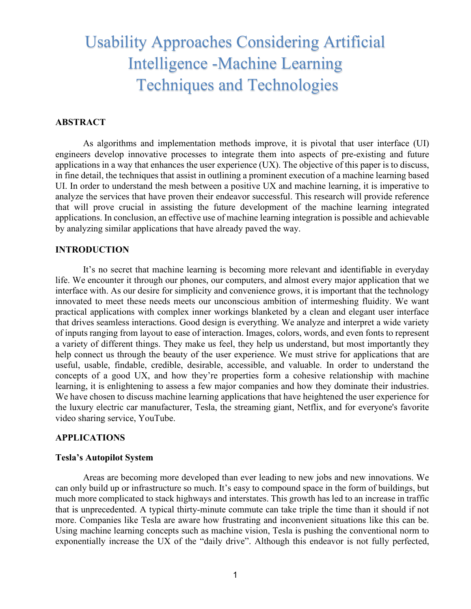# Usability Approaches Considering Artificial Intelligence -Machine Learning Techniques and Technologies

## **ABSTRACT**

As algorithms and implementation methods improve, it is pivotal that user interface (UI) engineers develop innovative processes to integrate them into aspects of pre-existing and future applications in a way that enhances the user experience (UX). The objective of this paper is to discuss, in fine detail, the techniques that assist in outlining a prominent execution of a machine learning based UI. In order to understand the mesh between a positive UX and machine learning, it is imperative to analyze the services that have proven their endeavor successful. This research will provide reference that will prove crucial in assisting the future development of the machine learning integrated applications. In conclusion, an effective use of machine learning integration is possible and achievable by analyzing similar applications that have already paved the way.

## **INTRODUCTION**

It's no secret that machine learning is becoming more relevant and identifiable in everyday life. We encounter it through our phones, our computers, and almost every major application that we interface with. As our desire for simplicity and convenience grows, it is important that the technology innovated to meet these needs meets our unconscious ambition of intermeshing fluidity. We want practical applications with complex inner workings blanketed by a clean and elegant user interface that drives seamless interactions. Good design is everything. We analyze and interpret a wide variety of inputs ranging from layout to ease of interaction. Images, colors, words, and even fonts to represent a variety of different things. They make us feel, they help us understand, but most importantly they help connect us through the beauty of the user experience. We must strive for applications that are useful, usable, findable, credible, desirable, accessible, and valuable. In order to understand the concepts of a good UX, and how they're properties form a cohesive relationship with machine learning, it is enlightening to assess a few major companies and how they dominate their industries. We have chosen to discuss machine learning applications that have heightened the user experience for the luxury electric car manufacturer, Tesla, the streaming giant, Netflix, and for everyone's favorite video sharing service, YouTube.

## **APPLICATIONS**

## **Tesla's Autopilot System**

Areas are becoming more developed than ever leading to new jobs and new innovations. We can only build up or infrastructure so much. It's easy to compound space in the form of buildings, but much more complicated to stack highways and interstates. This growth has led to an increase in traffic that is unprecedented. A typical thirty-minute commute can take triple the time than it should if not more. Companies like Tesla are aware how frustrating and inconvenient situations like this can be. Using machine learning concepts such as machine vision, Tesla is pushing the conventional norm to exponentially increase the UX of the "daily drive". Although this endeavor is not fully perfected,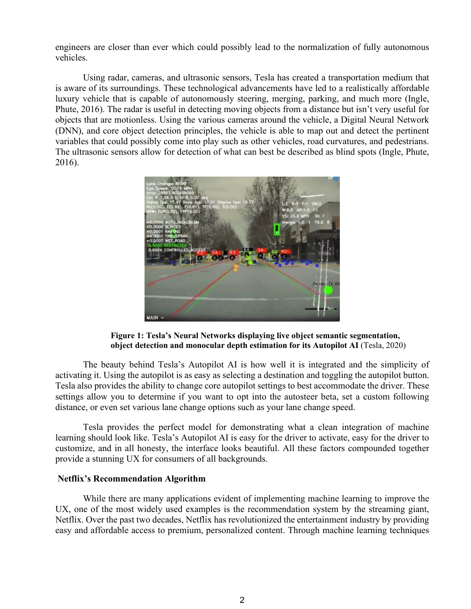engineers are closer than ever which could possibly lead to the normalization of fully autonomous vehicles.

Using radar, cameras, and ultrasonic sensors, Tesla has created a transportation medium that is aware of its surroundings. These technological advancements have led to a realistically affordable luxury vehicle that is capable of autonomously steering, merging, parking, and much more (Ingle, Phute, 2016). The radar is useful in detecting moving objects from a distance but isn't very useful for objects that are motionless. Using the various cameras around the vehicle, a Digital Neural Network (DNN), and core object detection principles, the vehicle is able to map out and detect the pertinent variables that could possibly come into play such as other vehicles, road curvatures, and pedestrians. The ultrasonic sensors allow for detection of what can best be described as blind spots (Ingle, Phute, 2016).



**Figure 1: Tesla's Neural Networks displaying live object semantic segmentation, object detection and monocular depth estimation for its Autopilot AI** (Tesla, 2020)

The beauty behind Tesla's Autopilot AI is how well it is integrated and the simplicity of activating it. Using the autopilot is as easy as selecting a destination and toggling the autopilot button. Tesla also provides the ability to change core autopilot settings to best accommodate the driver. These settings allow you to determine if you want to opt into the autosteer beta, set a custom following distance, or even set various lane change options such as your lane change speed.

Tesla provides the perfect model for demonstrating what a clean integration of machine learning should look like. Tesla's Autopilot AI is easy for the driver to activate, easy for the driver to customize, and in all honesty, the interface looks beautiful. All these factors compounded together provide a stunning UX for consumers of all backgrounds.

## **Netflix's Recommendation Algorithm**

While there are many applications evident of implementing machine learning to improve the UX, one of the most widely used examples is the recommendation system by the streaming giant, Netflix. Over the past two decades, Netflix has revolutionized the entertainment industry by providing easy and affordable access to premium, personalized content. Through machine learning techniques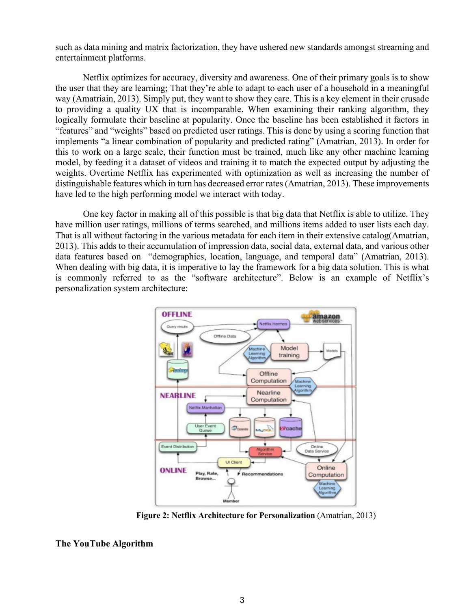such as data mining and matrix factorization, they have ushered new standards amongst streaming and entertainment platforms.

Netflix optimizes for accuracy, diversity and awareness. One of their primary goals is to show the user that they are learning; That they're able to adapt to each user of a household in a meaningful way (Amatriain, 2013). Simply put, they want to show they care. This is a key element in their crusade to providing a quality UX that is incomparable. When examining their ranking algorithm, they logically formulate their baseline at popularity. Once the baseline has been established it factors in "features" and "weights" based on predicted user ratings. This is done by using a scoring function that implements "a linear combination of popularity and predicted rating" (Amatrian, 2013). In order for this to work on a large scale, their function must be trained, much like any other machine learning model, by feeding it a dataset of videos and training it to match the expected output by adjusting the weights. Overtime Netflix has experimented with optimization as well as increasing the number of distinguishable features which in turn has decreased error rates (Amatrian, 2013). These improvements have led to the high performing model we interact with today.

One key factor in making all of this possible is that big data that Netflix is able to utilize. They have million user ratings, millions of terms searched, and millions items added to user lists each day. That is all without factoring in the various metadata for each item in their extensive catalog(Amatrian, 2013). This adds to their accumulation of impression data, social data, external data, and various other data features based on "demographics, location, language, and temporal data" (Amatrian, 2013). When dealing with big data, it is imperative to lay the framework for a big data solution. This is what is commonly referred to as the "software architecture". Below is an example of Netflix's personalization system architecture:



**Figure 2: Netflix Architecture for Personalization** (Amatrian, 2013)

**The YouTube Algorithm**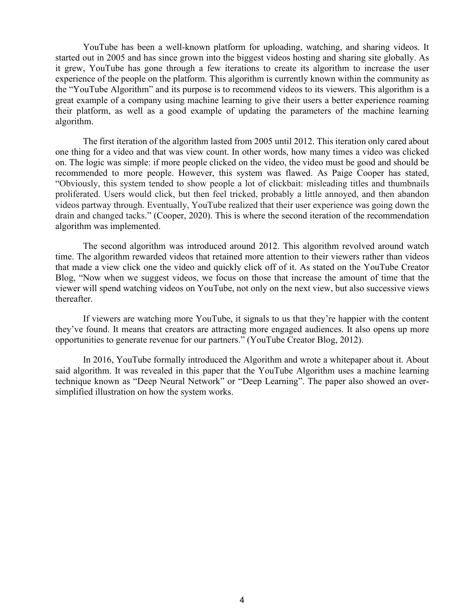YouTube has been a well-known platform for uploading, watching, and sharing videos. It started out in 2005 and has since grown into the biggest videos hosting and sharing site globally. As it grew, YouTube has gone through a few iterations to create its algorithm to increase the user experience of the people on the platform. This algorithm is currently known within the community as the "YouTube Algorithm" and its purpose is to recommend videos to its viewers. This algorithm is a great example of a company using machine learning to give their users a better experience roaming their platform, as well as a good example of updating the parameters of the machine learning algorithm.

The first iteration of the algorithm lasted from 2005 until 2012. This iteration only cared about one thing for a video and that was view count. In other words, how many times a video was clicked on. The logic was simple: if more people clicked on the video, the video must be good and should be recommended to more people. However, this system was flawed. As Paige Cooper has stated, "Obviously, this system tended to show people a lot of clickbait: misleading titles and thumbnails proliferated. Users would click, but then feel tricked, probably a little annoyed, and then abandon videos partway through. Eventually, YouTube realized that their user experience was going down the drain and changed tacks." (Cooper, 2020). This is where the second iteration of the recommendation algorithm was implemented.

The second algorithm was introduced around 2012. This algorithm revolved around watch time. The algorithm rewarded videos that retained more attention to their viewers rather than videos that made a view click one the video and quickly click off of it. As stated on the YouTube Creator Blog, "Now when we suggest videos, we focus on those that increase the amount of time that the viewer will spend watching videos on YouTube, not only on the next view, but also successive views thereafter.

If viewers are watching more YouTube, it signals to us that they're happier with the content they've found. It means that creators are attracting more engaged audiences. It also opens up more opportunities to generate revenue for our partners." (YouTube Creator Blog, 2012).

In 2016, YouTube formally introduced the Algorithm and wrote a whitepaper about it. About said algorithm. It was revealed in this paper that the YouTube Algorithm uses a machine learning technique known as "Deep Neural Network" or "Deep Learning". The paper also showed an oversimplified illustration on how the system works.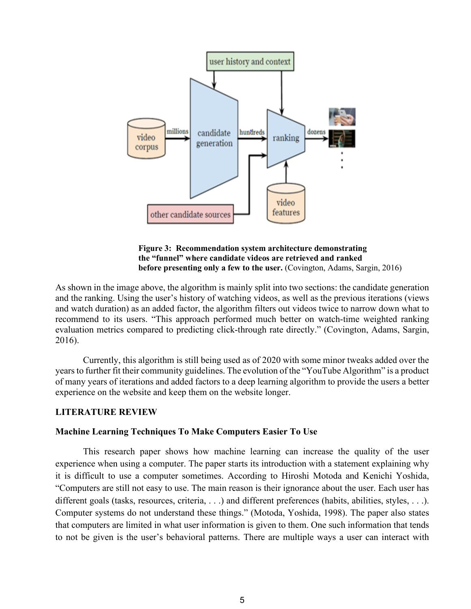

**Figure 3: Recommendation system architecture demonstrating the "funnel" where candidate videos are retrieved and ranked before presenting only a few to the user.** (Covington, Adams, Sargin, 2016)

As shown in the image above, the algorithm is mainly split into two sections: the candidate generation and the ranking. Using the user's history of watching videos, as well as the previous iterations (views and watch duration) as an added factor, the algorithm filters out videos twice to narrow down what to recommend to its users. "This approach performed much better on watch-time weighted ranking evaluation metrics compared to predicting click-through rate directly." (Covington, Adams, Sargin, 2016).

Currently, this algorithm is still being used as of 2020 with some minor tweaks added over the years to further fit their community guidelines. The evolution of the "YouTube Algorithm" is a product of many years of iterations and added factors to a deep learning algorithm to provide the users a better experience on the website and keep them on the website longer.

## **LITERATURE REVIEW**

#### **Machine Learning Techniques To Make Computers Easier To Use**

This research paper shows how machine learning can increase the quality of the user experience when using a computer. The paper starts its introduction with a statement explaining why it is difficult to use a computer sometimes. According to Hiroshi Motoda and Kenichi Yoshida, "Computers are still not easy to use. The main reason is their ignorance about the user. Each user has different goals (tasks, resources, criteria, ...) and different preferences (habits, abilities, styles, ...). Computer systems do not understand these things." (Motoda, Yoshida, 1998). The paper also states that computers are limited in what user information is given to them. One such information that tends to not be given is the user's behavioral patterns. There are multiple ways a user can interact with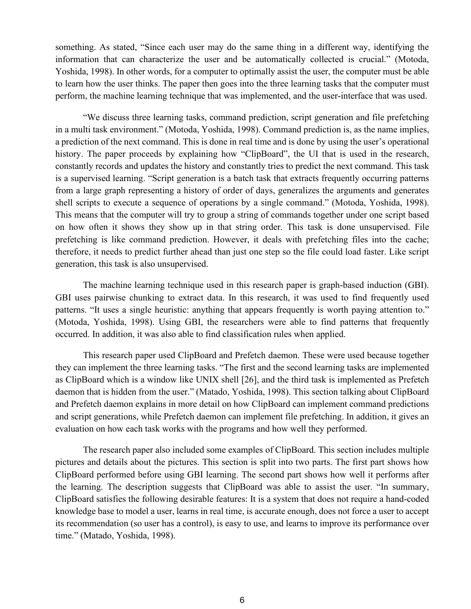something. As stated, "Since each user may do the same thing in a different way, identifying the information that can characterize the user and be automatically collected is crucial." (Motoda, Yoshida, 1998). In other words, for a computer to optimally assist the user, the computer must be able to learn how the user thinks. The paper then goes into the three learning tasks that the computer must perform, the machine learning technique that was implemented, and the user-interface that was used.

"We discuss three learning tasks, command prediction, script generation and file prefetching in a multi task environment." (Motoda, Yoshida, 1998). Command prediction is, as the name implies, a prediction of the next command. This is done in real time and is done by using the user's operational history. The paper proceeds by explaining how "ClipBoard", the UI that is used in the research, constantly records and updates the history and constantly tries to predict the next command. This task is a supervised learning. "Script generation is a batch task that extracts frequently occurring patterns from a large graph representing a history of order of days, generalizes the arguments and generates shell scripts to execute a sequence of operations by a single command." (Motoda, Yoshida, 1998). This means that the computer will try to group a string of commands together under one script based on how often it shows they show up in that string order. This task is done unsupervised. File prefetching is like command prediction. However, it deals with prefetching files into the cache; therefore, it needs to predict further ahead than just one step so the file could load faster. Like script generation, this task is also unsupervised.

The machine learning technique used in this research paper is graph-based induction (GBI). GBI uses pairwise chunking to extract data. In this research, it was used to find frequently used patterns. "It uses a single heuristic: anything that appears frequently is worth paying attention to." (Motoda, Yoshida, 1998). Using GBI, the researchers were able to find patterns that frequently occurred. In addition, it was also able to find classification rules when applied.

This research paper used ClipBoard and Prefetch daemon. These were used because together they can implement the three learning tasks. "The first and the second learning tasks are implemented as ClipBoard which is a window like UNIX shell [26], and the third task is implemented as Prefetch daemon that is hidden from the user." (Matado, Yoshida, 1998). This section talking about ClipBoard and Prefetch daemon explains in more detail on how ClipBoard can implement command predictions and script generations, while Prefetch daemon can implement file prefetching. In addition, it gives an evaluation on how each task works with the programs and how well they performed.

The research paper also included some examples of ClipBoard. This section includes multiple pictures and details about the pictures. This section is split into two parts. The first part shows how ClipBoard performed before using GBI learning. The second part shows how well it performs after the learning. The description suggests that ClipBoard was able to assist the user. "In summary, ClipBoard satisfies the following desirable features: It is a system that does not require a hand-coded knowledge base to model a user, learns in real time, is accurate enough, does not force a user to accept its recommendation (so user has a control), is easy to use, and learns to improve its performance over time." (Matado, Yoshida, 1998).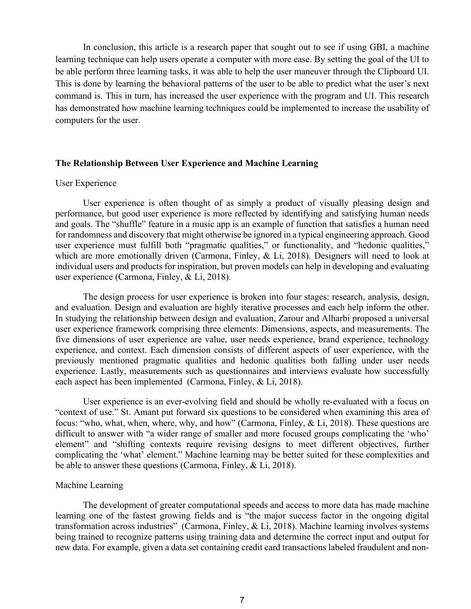In conclusion, this article is a research paper that sought out to see if using GBI, a machine learning technique can help users operate a computer with more ease. By setting the goal of the UI to be able perform three learning tasks, it was able to help the user maneuver through the Clipboard UI. This is done by learning the behavioral patterns of the user to be able to predict what the user's next command is. This in turn, has increased the user experience with the program and UI. This research has demonstrated how machine learning techniques could be implemented to increase the usability of computers for the user.

#### **The Relationship Between User Experience and Machine Learning**

#### User Experience

User experience is often thought of as simply a product of visually pleasing design and performance, but good user experience is more reflected by identifying and satisfying human needs and goals. The "shuffle" feature in a music app is an example of function that satisfies a human need for randomness and discovery that might otherwise be ignored in a typical engineering approach. Good user experience must fulfill both "pragmatic qualities," or functionality, and "hedonic qualities," which are more emotionally driven (Carmona, Finley, & Li, 2018). Designers will need to look at individual users and products for inspiration, but proven models can help in developing and evaluating user experience (Carmona, Finley, & Li, 2018).

The design process for user experience is broken into four stages: research, analysis, design, and evaluation. Design and evaluation are highly iterative processes and each help inform the other. In studying the relationship between design and evaluation, Zarour and Alharbi proposed a universal user experience framework comprising three elements: Dimensions, aspects, and measurements. The five dimensions of user experience are value, user needs experience, brand experience, technology experience, and context. Each dimension consists of different aspects of user experience, with the previously mentioned pragmatic qualities and hedonic qualities both falling under user needs experience. Lastly, measurements such as questionnaires and interviews evaluate how successfully each aspect has been implemented (Carmona, Finley, & Li, 2018).

User experience is an ever-evolving field and should be wholly re-evaluated with a focus on "context of use." St. Amant put forward six questions to be considered when examining this area of focus: "who, what, when, where, why, and how" (Carmona, Finley, & Li, 2018). These questions are difficult to answer with "a wider range of smaller and more focused groups complicating the 'who' element" and "shifting contexts require revising designs to meet different objectives, further complicating the 'what' element." Machine learning may be better suited for these complexities and be able to answer these questions (Carmona, Finley, & Li, 2018).

#### Machine Learning

The development of greater computational speeds and access to more data has made machine learning one of the fastest growing fields and is "the major success factor in the ongoing digital transformation across industries" (Carmona, Finley, & Li, 2018). Machine learning involves systems being trained to recognize patterns using training data and determine the correct input and output for new data. For example, given a data set containing credit card transactions labeled fraudulent and non-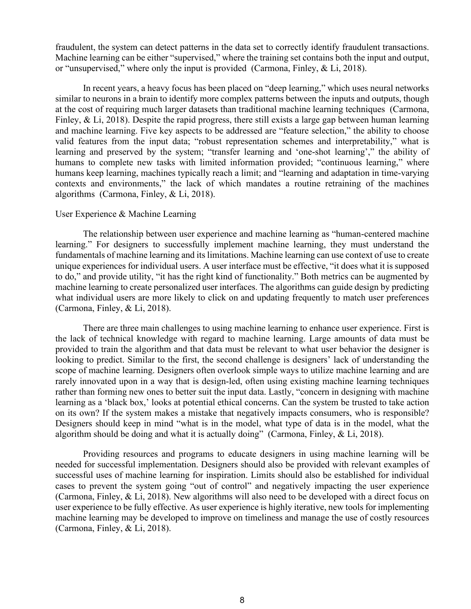fraudulent, the system can detect patterns in the data set to correctly identify fraudulent transactions. Machine learning can be either "supervised," where the training set contains both the input and output, or "unsupervised," where only the input is provided (Carmona, Finley, & Li, 2018).

In recent years, a heavy focus has been placed on "deep learning," which uses neural networks similar to neurons in a brain to identify more complex patterns between the inputs and outputs, though at the cost of requiring much larger datasets than traditional machine learning techniques (Carmona, Finley, & Li, 2018). Despite the rapid progress, there still exists a large gap between human learning and machine learning. Five key aspects to be addressed are "feature selection," the ability to choose valid features from the input data; "robust representation schemes and interpretability," what is learning and preserved by the system; "transfer learning and 'one-shot learning'," the ability of humans to complete new tasks with limited information provided; "continuous learning," where humans keep learning, machines typically reach a limit; and "learning and adaptation in time-varying contexts and environments," the lack of which mandates a routine retraining of the machines algorithms (Carmona, Finley, & Li, 2018).

#### User Experience & Machine Learning

The relationship between user experience and machine learning as "human-centered machine learning." For designers to successfully implement machine learning, they must understand the fundamentals of machine learning and its limitations. Machine learning can use context of use to create unique experiences for individual users. A user interface must be effective, "it does what it is supposed to do," and provide utility, "it has the right kind of functionality." Both metrics can be augmented by machine learning to create personalized user interfaces. The algorithms can guide design by predicting what individual users are more likely to click on and updating frequently to match user preferences (Carmona, Finley, & Li, 2018).

There are three main challenges to using machine learning to enhance user experience. First is the lack of technical knowledge with regard to machine learning. Large amounts of data must be provided to train the algorithm and that data must be relevant to what user behavior the designer is looking to predict. Similar to the first, the second challenge is designers' lack of understanding the scope of machine learning. Designers often overlook simple ways to utilize machine learning and are rarely innovated upon in a way that is design-led, often using existing machine learning techniques rather than forming new ones to better suit the input data. Lastly, "concern in designing with machine learning as a 'black box,' looks at potential ethical concerns. Can the system be trusted to take action on its own? If the system makes a mistake that negatively impacts consumers, who is responsible? Designers should keep in mind "what is in the model, what type of data is in the model, what the algorithm should be doing and what it is actually doing" (Carmona, Finley, & Li, 2018).

Providing resources and programs to educate designers in using machine learning will be needed for successful implementation. Designers should also be provided with relevant examples of successful uses of machine learning for inspiration. Limits should also be established for individual cases to prevent the system going "out of control" and negatively impacting the user experience (Carmona, Finley, & Li, 2018). New algorithms will also need to be developed with a direct focus on user experience to be fully effective. As user experience is highly iterative, new tools for implementing machine learning may be developed to improve on timeliness and manage the use of costly resources (Carmona, Finley, & Li, 2018).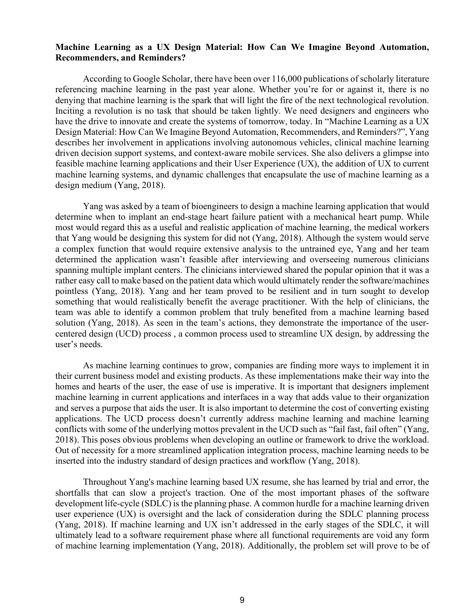## **Machine Learning as a UX Design Material: How Can We Imagine Beyond Automation, Recommenders, and Reminders?**

According to Google Scholar, there have been over 116,000 publications of scholarly literature referencing machine learning in the past year alone. Whether you're for or against it, there is no denying that machine learning is the spark that will light the fire of the next technological revolution. Inciting a revolution is no task that should be taken lightly. We need designers and engineers who have the drive to innovate and create the systems of tomorrow, today. In "Machine Learning as a UX Design Material: How Can We Imagine Beyond Automation, Recommenders, and Reminders?", Yang describes her involvement in applications involving autonomous vehicles, clinical machine learning driven decision support systems, and context-aware mobile services. She also delivers a glimpse into feasible machine learning applications and their User Experience (UX), the addition of UX to current machine learning systems, and dynamic challenges that encapsulate the use of machine learning as a design medium (Yang, 2018).

Yang was asked by a team of bioengineers to design a machine learning application that would determine when to implant an end-stage heart failure patient with a mechanical heart pump. While most would regard this as a useful and realistic application of machine learning, the medical workers that Yang would be designing this system for did not (Yang, 2018). Although the system would serve a complex function that would require extensive analysis to the untrained eye, Yang and her team determined the application wasn't feasible after interviewing and overseeing numerous clinicians spanning multiple implant centers. The clinicians interviewed shared the popular opinion that it was a rather easy call to make based on the patient data which would ultimately render the software/machines pointless (Yang, 2018). Yang and her team proved to be resilient and in turn sought to develop something that would realistically benefit the average practitioner. With the help of clinicians, the team was able to identify a common problem that truly benefited from a machine learning based solution (Yang, 2018). As seen in the team's actions, they demonstrate the importance of the usercentered design (UCD) process , a common process used to streamline UX design, by addressing the user's needs.

As machine learning continues to grow, companies are finding more ways to implement it in their current business model and existing products. As these implementations make their way into the homes and hearts of the user, the ease of use is imperative. It is important that designers implement machine learning in current applications and interfaces in a way that adds value to their organization and serves a purpose that aids the user. It is also important to determine the cost of converting existing applications. The UCD process doesn't currently address machine learning and machine learning conflicts with some of the underlying mottos prevalent in the UCD such as "fail fast, fail often" (Yang, 2018). This poses obvious problems when developing an outline or framework to drive the workload. Out of necessity for a more streamlined application integration process, machine learning needs to be inserted into the industry standard of design practices and workflow (Yang, 2018).

 Throughout Yang's machine learning based UX resume, she has learned by trial and error, the shortfalls that can slow a project's traction. One of the most important phases of the software development life-cycle (SDLC) is the planning phase. A common hurdle for a machine learning driven user experience (UX) is oversight and the lack of consideration during the SDLC planning process (Yang, 2018). If machine learning and UX isn't addressed in the early stages of the SDLC, it will ultimately lead to a software requirement phase where all functional requirements are void any form of machine learning implementation (Yang, 2018). Additionally, the problem set will prove to be of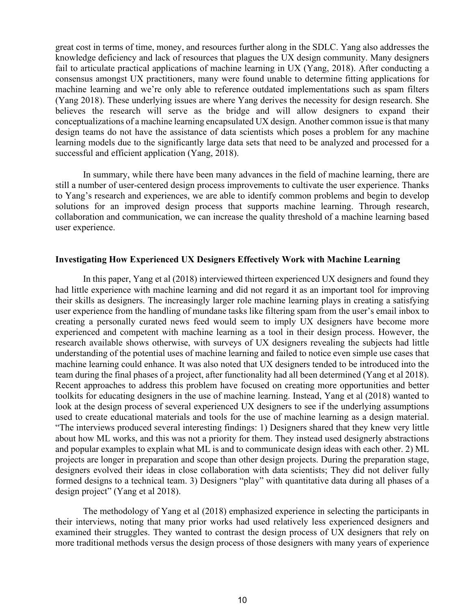great cost in terms of time, money, and resources further along in the SDLC. Yang also addresses the knowledge deficiency and lack of resources that plagues the UX design community. Many designers fail to articulate practical applications of machine learning in UX (Yang, 2018). After conducting a consensus amongst UX practitioners, many were found unable to determine fitting applications for machine learning and we're only able to reference outdated implementations such as spam filters (Yang 2018). These underlying issues are where Yang derives the necessity for design research. She believes the research will serve as the bridge and will allow designers to expand their conceptualizations of a machine learning encapsulated UX design. Another common issue is that many design teams do not have the assistance of data scientists which poses a problem for any machine learning models due to the significantly large data sets that need to be analyzed and processed for a successful and efficient application (Yang, 2018).

 In summary, while there have been many advances in the field of machine learning, there are still a number of user-centered design process improvements to cultivate the user experience. Thanks to Yang's research and experiences, we are able to identify common problems and begin to develop solutions for an improved design process that supports machine learning. Through research, collaboration and communication, we can increase the quality threshold of a machine learning based user experience.

#### **Investigating How Experienced UX Designers Effectively Work with Machine Learning**

 In this paper, Yang et al (2018) interviewed thirteen experienced UX designers and found they had little experience with machine learning and did not regard it as an important tool for improving their skills as designers. The increasingly larger role machine learning plays in creating a satisfying user experience from the handling of mundane tasks like filtering spam from the user's email inbox to creating a personally curated news feed would seem to imply UX designers have become more experienced and competent with machine learning as a tool in their design process. However, the research available shows otherwise, with surveys of UX designers revealing the subjects had little understanding of the potential uses of machine learning and failed to notice even simple use cases that machine learning could enhance. It was also noted that UX designers tended to be introduced into the team during the final phases of a project, after functionality had all been determined (Yang et al 2018). Recent approaches to address this problem have focused on creating more opportunities and better toolkits for educating designers in the use of machine learning. Instead, Yang et al (2018) wanted to look at the design process of several experienced UX designers to see if the underlying assumptions used to create educational materials and tools for the use of machine learning as a design material. "The interviews produced several interesting findings: 1) Designers shared that they knew very little about how ML works, and this was not a priority for them. They instead used designerly abstractions and popular examples to explain what ML is and to communicate design ideas with each other. 2) ML projects are longer in preparation and scope than other design projects. During the preparation stage, designers evolved their ideas in close collaboration with data scientists; They did not deliver fully formed designs to a technical team. 3) Designers "play" with quantitative data during all phases of a design project" (Yang et al 2018).

 The methodology of Yang et al (2018) emphasized experience in selecting the participants in their interviews, noting that many prior works had used relatively less experienced designers and examined their struggles. They wanted to contrast the design process of UX designers that rely on more traditional methods versus the design process of those designers with many years of experience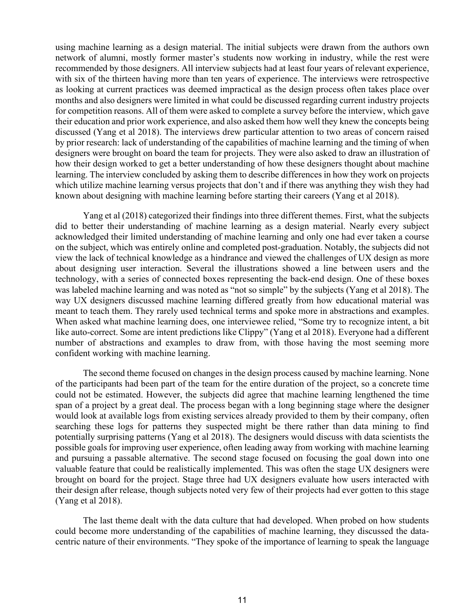using machine learning as a design material. The initial subjects were drawn from the authors own network of alumni, mostly former master's students now working in industry, while the rest were recommended by those designers. All interview subjects had at least four years of relevant experience, with six of the thirteen having more than ten years of experience. The interviews were retrospective as looking at current practices was deemed impractical as the design process often takes place over months and also designers were limited in what could be discussed regarding current industry projects for competition reasons. All of them were asked to complete a survey before the interview, which gave their education and prior work experience, and also asked them how well they knew the concepts being discussed (Yang et al 2018). The interviews drew particular attention to two areas of concern raised by prior research: lack of understanding of the capabilities of machine learning and the timing of when designers were brought on board the team for projects. They were also asked to draw an illustration of how their design worked to get a better understanding of how these designers thought about machine learning. The interview concluded by asking them to describe differences in how they work on projects which utilize machine learning versus projects that don't and if there was anything they wish they had known about designing with machine learning before starting their careers (Yang et al 2018).

 Yang et al (2018) categorized their findings into three different themes. First, what the subjects did to better their understanding of machine learning as a design material. Nearly every subject acknowledged their limited understanding of machine learning and only one had ever taken a course on the subject, which was entirely online and completed post-graduation. Notably, the subjects did not view the lack of technical knowledge as a hindrance and viewed the challenges of UX design as more about designing user interaction. Several the illustrations showed a line between users and the technology, with a series of connected boxes representing the back-end design. One of these boxes was labeled machine learning and was noted as "not so simple" by the subjects (Yang et al 2018). The way UX designers discussed machine learning differed greatly from how educational material was meant to teach them. They rarely used technical terms and spoke more in abstractions and examples. When asked what machine learning does, one interviewee relied, "Some try to recognize intent, a bit like auto-correct. Some are intent predictions like Clippy" (Yang et al 2018). Everyone had a different number of abstractions and examples to draw from, with those having the most seeming more confident working with machine learning.

The second theme focused on changes in the design process caused by machine learning. None of the participants had been part of the team for the entire duration of the project, so a concrete time could not be estimated. However, the subjects did agree that machine learning lengthened the time span of a project by a great deal. The process began with a long beginning stage where the designer would look at available logs from existing services already provided to them by their company, often searching these logs for patterns they suspected might be there rather than data mining to find potentially surprising patterns (Yang et al 2018). The designers would discuss with data scientists the possible goals for improving user experience, often leading away from working with machine learning and pursuing a passable alternative. The second stage focused on focusing the goal down into one valuable feature that could be realistically implemented. This was often the stage UX designers were brought on board for the project. Stage three had UX designers evaluate how users interacted with their design after release, though subjects noted very few of their projects had ever gotten to this stage (Yang et al 2018).

The last theme dealt with the data culture that had developed. When probed on how students could become more understanding of the capabilities of machine learning, they discussed the datacentric nature of their environments. "They spoke of the importance of learning to speak the language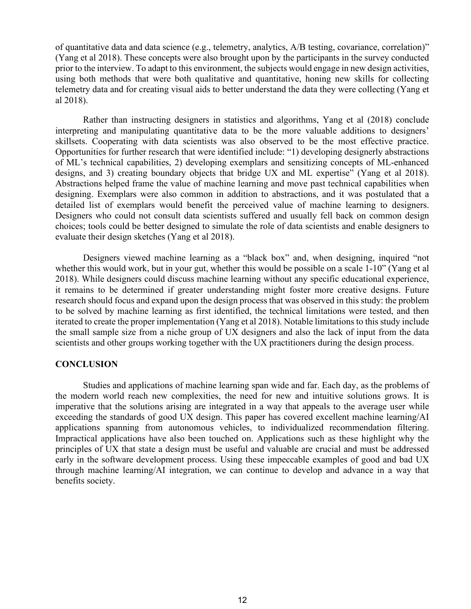of quantitative data and data science (e.g., telemetry, analytics, A/B testing, covariance, correlation)" (Yang et al 2018). These concepts were also brought upon by the participants in the survey conducted prior to the interview. To adapt to this environment, the subjects would engage in new design activities, using both methods that were both qualitative and quantitative, honing new skills for collecting telemetry data and for creating visual aids to better understand the data they were collecting (Yang et al 2018).

Rather than instructing designers in statistics and algorithms, Yang et al (2018) conclude interpreting and manipulating quantitative data to be the more valuable additions to designers' skillsets. Cooperating with data scientists was also observed to be the most effective practice. Opportunities for further research that were identified include: "1) developing designerly abstractions of ML's technical capabilities, 2) developing exemplars and sensitizing concepts of ML-enhanced designs, and 3) creating boundary objects that bridge UX and ML expertise" (Yang et al 2018). Abstractions helped frame the value of machine learning and move past technical capabilities when designing. Exemplars were also common in addition to abstractions, and it was postulated that a detailed list of exemplars would benefit the perceived value of machine learning to designers. Designers who could not consult data scientists suffered and usually fell back on common design choices; tools could be better designed to simulate the role of data scientists and enable designers to evaluate their design sketches (Yang et al 2018).

Designers viewed machine learning as a "black box" and, when designing, inquired "not whether this would work, but in your gut, whether this would be possible on a scale 1-10" (Yang et al 2018). While designers could discuss machine learning without any specific educational experience, it remains to be determined if greater understanding might foster more creative designs. Future research should focus and expand upon the design process that was observed in this study: the problem to be solved by machine learning as first identified, the technical limitations were tested, and then iterated to create the proper implementation (Yang et al 2018). Notable limitations to this study include the small sample size from a niche group of UX designers and also the lack of input from the data scientists and other groups working together with the UX practitioners during the design process.

## **CONCLUSION**

Studies and applications of machine learning span wide and far. Each day, as the problems of the modern world reach new complexities, the need for new and intuitive solutions grows. It is imperative that the solutions arising are integrated in a way that appeals to the average user while exceeding the standards of good UX design. This paper has covered excellent machine learning/AI applications spanning from autonomous vehicles, to individualized recommendation filtering. Impractical applications have also been touched on. Applications such as these highlight why the principles of UX that state a design must be useful and valuable are crucial and must be addressed early in the software development process. Using these impeccable examples of good and bad UX through machine learning/AI integration, we can continue to develop and advance in a way that benefits society.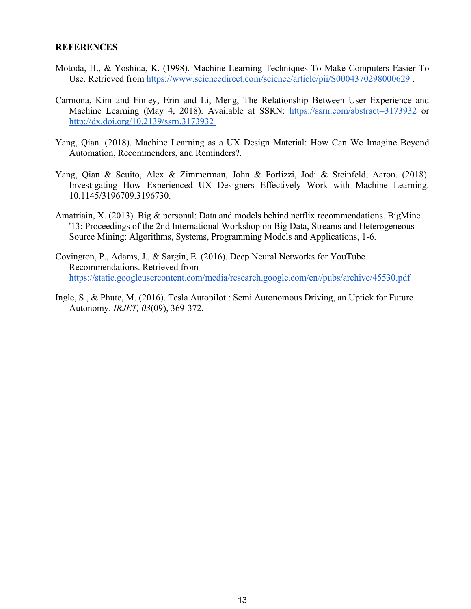## **REFERENCES**

- Motoda, H., & Yoshida, K. (1998). Machine Learning Techniques To Make Computers Easier To Use. Retrieved from<https://www.sciencedirect.com/science/article/pii/S0004370298000629> .
- Carmona, Kim and Finley, Erin and Li, Meng, The Relationship Between User Experience and Machine Learning (May 4, 2018). Available at SSRN[:](https://ssrn.com/abstract=3173932) <https://ssrn.com/abstract=3173932> o[r](https://dx.doi.org/10.2139/ssrn.3173932) [http://dx.doi.org/10.2139/ssrn.3173932](https://dx.doi.org/10.2139/ssrn.3173932)
- Yang, Qian. (2018). Machine Learning as a UX Design Material: How Can We Imagine Beyond Automation, Recommenders, and Reminders?.
- Yang, Qian & Scuito, Alex & Zimmerman, John & Forlizzi, Jodi & Steinfeld, Aaron. (2018). Investigating How Experienced UX Designers Effectively Work with Machine Learning. 10.1145/3196709.3196730.
- Amatriain, X. (2013). Big & personal: Data and models behind netflix recommendations. BigMine '13: Proceedings of the 2nd International Workshop on Big Data, Streams and Heterogeneous Source Mining: Algorithms, Systems, Programming Models and Applications, 1-6.
- Covington, P., Adams, J., & Sargin, E. (2016). Deep Neural Networks for YouTube Recommendations. Retrieved from [https://static.googleusercontent.com/media/research.google.com/en//pubs/archive/45530.pdf](https://static.googleusercontent.com/media/research.google.com/en/pubs/archive/45530.pdf)
- Ingle, S., & Phute, M. (2016). Tesla Autopilot : Semi Autonomous Driving, an Uptick for Future Autonomy. *IRJET, 03*(09), 369-372.